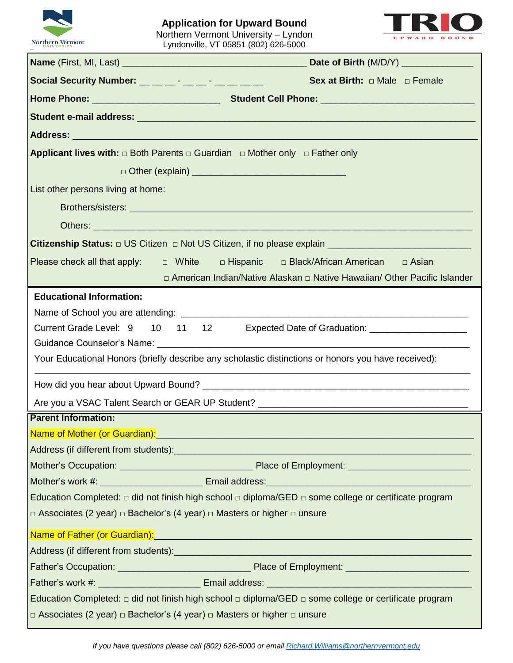

## **Application for Upward Bound** Northern Vermont University – Lyndon Lyndonville, VT 05851 (802) 626-5000



| Social Security Number: __ _ _ _ _ _ _ _ _ _ _ _ _ | <b>Sex at Birth:</b> $\Box$ Male $\Box$ Female                                                                                                                                                                                 |
|----------------------------------------------------|--------------------------------------------------------------------------------------------------------------------------------------------------------------------------------------------------------------------------------|
|                                                    |                                                                                                                                                                                                                                |
|                                                    |                                                                                                                                                                                                                                |
|                                                    |                                                                                                                                                                                                                                |
|                                                    | Applicant lives with: $\Box$ Both Parents $\Box$ Guardian $\Box$ Mother only $\Box$ Father only                                                                                                                                |
|                                                    |                                                                                                                                                                                                                                |
| List other persons living at home:                 |                                                                                                                                                                                                                                |
|                                                    |                                                                                                                                                                                                                                |
|                                                    |                                                                                                                                                                                                                                |
|                                                    | Citizenship Status: □ US Citizen □ Not US Citizen, if no please explain ___________________________                                                                                                                            |
|                                                    | Please check all that apply: $\Box$ White $\Box$ Hispanic $\Box$ Black/African American $\Box$ Asian                                                                                                                           |
|                                                    | □ American Indian/Native Alaskan □ Native Hawaiian/ Other Pacific Islander                                                                                                                                                     |
| <b>Educational Information:</b>                    |                                                                                                                                                                                                                                |
|                                                    |                                                                                                                                                                                                                                |
|                                                    | Current Grade Level: 9 10 11 12 Expected Date of Graduation: ___________________                                                                                                                                               |
|                                                    |                                                                                                                                                                                                                                |
|                                                    | Your Educational Honors (briefly describe any scholastic distinctions or honors you have received):                                                                                                                            |
|                                                    |                                                                                                                                                                                                                                |
|                                                    |                                                                                                                                                                                                                                |
|                                                    |                                                                                                                                                                                                                                |
|                                                    |                                                                                                                                                                                                                                |
| <b>Parent Information:</b>                         |                                                                                                                                                                                                                                |
|                                                    | Name of Mother (or Guardian): Name of Motor Contract Contract Contract Contract Contract Contract Contract Contract Contract Contract Contract Contract Contract Contract Contract Contract Contract Contract Contract Contrac |
|                                                    |                                                                                                                                                                                                                                |
|                                                    |                                                                                                                                                                                                                                |
|                                                    |                                                                                                                                                                                                                                |
|                                                    | Education Completed: $\Box$ did not finish high school $\Box$ diploma/GED $\Box$ some college or certificate program                                                                                                           |
|                                                    | □ Associates (2 year) □ Bachelor's (4 year) □ Masters or higher □ unsure                                                                                                                                                       |
|                                                    | Name of Father (or Guardian): Name of Table 1999 and the Contract of Table 1999 and the Contract of Table 1999                                                                                                                 |
|                                                    |                                                                                                                                                                                                                                |
|                                                    |                                                                                                                                                                                                                                |
|                                                    |                                                                                                                                                                                                                                |
|                                                    | Education Completed: $\Box$ did not finish high school $\Box$ diploma/GED $\Box$ some college or certificate program                                                                                                           |